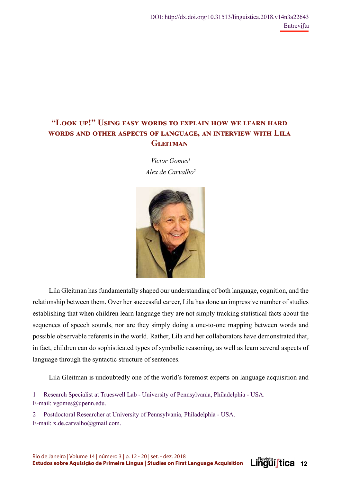# **"Lඈඈ ඎඉ!" Uඌංඇ ൾൺඌඒ ඐඈඋൽඌ ඍඈ ൾඑඉඅൺංඇ ඁඈඐ ඐൾ අൾൺඋඇ ඁൺඋൽ WORDS AND OTHER ASPECTS OF LANGUAGE, AN INTERVIEW WITH LILA GLEITMAN**

*Victor Gomes1 Alex de Carvalho2*



Lila Gleitman has fundamentally shaped our understanding of both language, cognition, and the relationship between them. Over her successful career, Lila has done an impressive number of studies establishing that when children learn language they are not simply tracking statistical facts about the sequences of speech sounds, nor are they simply doing a one-to-one mapping between words and possible observable referents in the world. Rather, Lila and her collaborators have demonstrated that, in fact, children can do sophisticated types of symbolic reasoning, as well as learn several aspects of language through the syntactic structure of sentences.

Lila Gleitman is undoubtedly one of the world's foremost experts on language acquisition and

**Linguistica** 12

2 Postdoctoral Researcher at University of Pennsylvania, Philadelphia - USA. E-mail: x.de.carvalho@gmail.com.

<sup>1</sup> Research Specialist at Trueswell Lab - University of Pennsylvania, Philadelphia - USA. E-mail: vgomes@upenn.edu.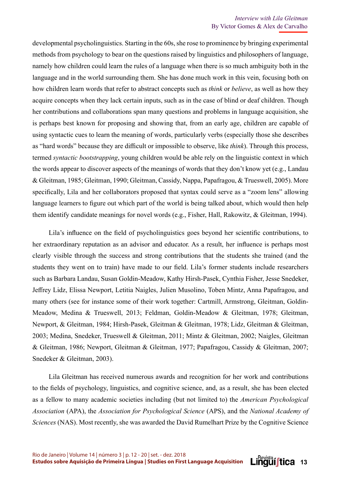developmental psycholinguistics. Starting in the 60s, she rose to prominence by bringing experimental methods from psychology to bear on the questions raised by linguistics and philosophers of language, namely how children could learn the rules of a language when there is so much ambiguity both in the language and in the world surrounding them. She has done much work in this vein, focusing both on how children learn words that refer to abstract concepts such as *think* or *believe*, as well as how they acquire concepts when they lack certain inputs, such as in the case of blind or deaf children. Though her contributions and collaborations span many questions and problems in language acquisition, she is perhaps best known for proposing and showing that, from an early age, children are capable of using syntactic cues to learn the meaning of words, particularly verbs (especially those she describes as "hard words" because they are difficult or impossible to observe, like *think*). Through this process, termed *syntactic bootstrapping*, young children would be able rely on the linguistic context in which the words appear to discover aspects of the meanings of words that they don't know yet (e.g., Landau & Gleitman, 1985; Gleitman, 1990; Gleitman, Cassidy, Nappa, Papafragou, & Trueswell, 2005). More specifically, Lila and her collaborators proposed that syntax could serve as a "zoom lens" allowing language learners to figure out which part of the world is being talked about, which would then help them identify candidate meanings for novel words (e.g., Fisher, Hall, Rakowitz, & Gleitman, 1994).

Lila's influence on the field of psycholinguistics goes beyond her scientific contributions, to her extraordinary reputation as an advisor and educator. As a result, her influence is perhaps most clearly visible through the success and strong contributions that the students she trained (and the students they went on to train) have made to our field. Lila's former students include researchers such as Barbara Landau, Susan Goldin-Meadow, Kathy Hirsh-Pasek, Cynthia Fisher, Jesse Snedeker, Jeffrey Lidz, Elissa Newport, Letitia Naigles, Julien Musolino, Toben Mintz, Anna Papafragou, and many others (see for instance some of their work together: Cartmill, Armstrong, Gleitman, Goldin-Meadow, Medina & Trueswell, 2013; Feldman, Goldin-Meadow & Gleitman, 1978; Gleitman, Newport, & Gleitman, 1984; Hirsh-Pasek, Gleitman & Gleitman, 1978; Lidz, Gleitman & Gleitman, 2003; Medina, Snedeker, Trueswell & Gleitman, 2011; Mintz & Gleitman, 2002; Naigles, Gleitman & Gleitman, 1986; Newport, Gleitman & Gleitman, 1977; Papafragou, Cassidy & Gleitman, 2007; Snedeker & Gleitman, 2003).

Lila Gleitman has received numerous awards and recognition for her work and contributions to the fields of psychology, linguistics, and cognitive science, and, as a result, she has been elected as a fellow to many academic societies including (but not limited to) the *American Psychological Association* (APA), the *Association for Psychological Science* (APS), and the *National Academy of Sciences* (NAS). Most recently, she was awarded the David Rumelhart Prize by the Cognitive Science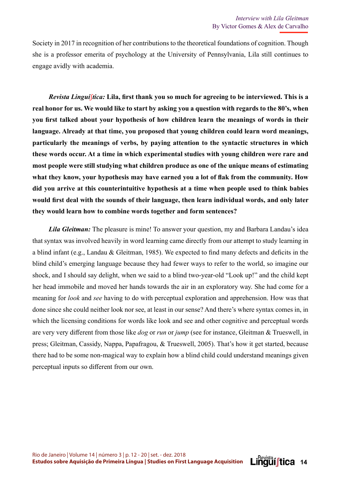Society in 2017 in recognition of her contributions to the theoretical foundations of cognition. Though she is a professor emerita of psychology at the University of Pennsylvania, Lila still continues to engage avidly with academia.

*Revista Linguíftica:* Lila, first thank you so much for agreeing to be interviewed. This is a **real honor for us. We would like to start by asking you a question with regards to the 80's, when**  you first talked about your hypothesis of how children learn the meanings of words in their **language. Already at that time, you proposed that young children could learn word meanings, particularly the meanings of verbs, by paying attention to the syntactic structures in which these words occur. At a time in which experimental studies with young children were rare and most people were still studying what children produce as one of the unique means of estimating**  what they know, your hypothesis may have earned you a lot of flak from the community. How **did you arrive at this counterintuitive hypothesis at a time when people used to think babies**  would first deal with the sounds of their language, then learn individual words, and only later **they would learn how to combine words together and form sentences?** 

*Lila Gleitman:* The pleasure is mine! To answer your question, my and Barbara Landau's idea that syntax was involved heavily in word learning came directly from our attempt to study learning in a blind infant (e.g., Landau & Gleitman, 1985). We expected to find many defects and deficits in the blind child's emerging language because they had fewer ways to refer to the world, so imagine our shock, and I should say delight, when we said to a blind two-year-old "Look up!" and the child kept her head immobile and moved her hands towards the air in an exploratory way. She had come for a meaning for *look* and *see* having to do with perceptual exploration and apprehension. How was that done since she could neither look nor see, at least in our sense? And there's where syntax comes in, in which the licensing conditions for words like look and see and other cognitive and perceptual words are very very different from those like *dog* or *run* or *jump* (see for instance, Gleitman & Trueswell, in press; Gleitman, Cassidy, Nappa, Papafragou, & Trueswell, 2005). That's how it get started, because there had to be some non-magical way to explain how a blind child could understand meanings given perceptual inputs so different from our own.

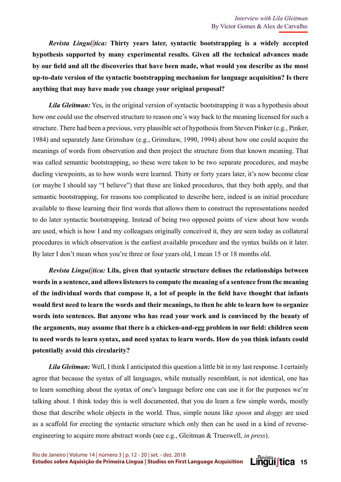*Revista Linguí*ʃ*tica:* **Thirty years later, syntactic bootstrapping is a widely accepted hypothesis supported by many experimental results. Given all the technical advances made**  by our field and all the discoveries that have been made, what would you describe as the most **up-to-date version of the syntactic bootstrapping mechanism for language acquisition? Is there anything that may have made you change your original proposal?**

*Lila Gleitman:* Yes, in the original version of syntactic bootstrapping it was a hypothesis about how one could use the observed structure to reason one's way back to the meaning licensed for such a structure. There had been a previous, very plausible set of hypothesis from Steven Pinker (e.g., Pinker, 1984) and separately Jane Grimshaw (e.g., Grimshaw, 1990, 1994) about how one could acquire the meanings of words from observation and then project the structure from that known meaning. That was called semantic bootstrapping, so these were taken to be two separate procedures, and maybe dueling viewpoints, as to how words were learned. Thirty or forty years later, it's now become clear (or maybe I should say "I believe") that these are linked procedures, that they both apply, and that semantic bootstrapping, for reasons too complicated to describe here, indeed is an initial procedure available to those learning their first words that allows them to construct the representations needed to do later syntactic bootstrapping. Instead of being two opposed points of view about how words are used, which is how I and my colleagues originally conceived it, they are seen today as collateral procedures in which observation is the earliest available procedure and the syntax builds on it later. By later I don't mean when you're three or four years old, I mean 15 or 18 months old.

*Revista Linguíftica: Lila, given that syntactic structure defines the relationships between* **words in a sentence, and allows listeners to compute the meaning of a sentence from the meaning**  of the individual words that compose it, a lot of people in the field have thought that infants would first need to learn the words and their meanings, to then be able to learn how to organize **words into sentences. But anyone who has read your work and is convinced by the beauty of**  the arguments, may assume that there is a chicken-and-egg problem in our field: children seem **to need words to learn syntax, and need syntax to learn words. How do you think infants could potentially avoid this circularity?** 

*Lila Gleitman:* Well, I think I anticipated this question a little bit in my last response. I certainly agree that because the syntax of all languages, while mutually resemblant, is not identical, one has to learn something about the syntax of one's language before one can use it for the purposes we're talking about. I think today this is well documented, that you do learn a few simple words, mostly those that describe whole objects in the world. Thus, simple nouns like *spoon* and *doggy* are used as a scaffold for erecting the syntactic structure which only then can be used in a kind of reverseengineering to acquire more abstract words (see e.g., Gleitman & Trueswell, *in press*).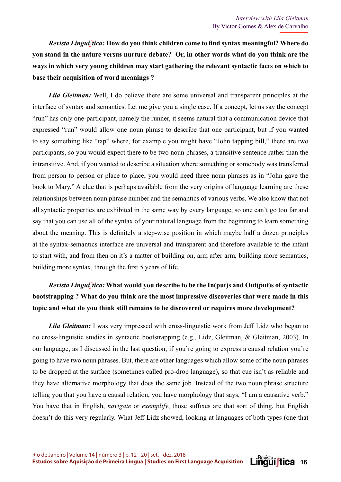*Revista Linguíftica:* How do you think children come to find syntax meaningful? Where do **you stand in the nature versus nurture debate? Or, in other words what do you think are the ways in which very young children may start gathering the relevant syntactic facts on which to base their acquisition of word meanings ?** 

*Lila Gleitman:* Well, I do believe there are some universal and transparent principles at the interface of syntax and semantics. Let me give you a single case. If a concept, let us say the concept "run" has only one-participant, namely the runner, it seems natural that a communication device that expressed "run" would allow one noun phrase to describe that one participant, but if you wanted to say something like "tap" where, for example you might have "John tapping bill," there are two participants, so you would expect there to be two noun phrases, a transitive sentence rather than the intransitive. And, if you wanted to describe a situation where something or somebody was transferred from person to person or place to place, you would need three noun phrases as in "John gave the book to Mary." A clue that is perhaps available from the very origins of language learning are these relationships between noun phrase number and the semantics of various verbs. We also know that not all syntactic properties are exhibited in the same way by every language, so one can't go too far and say that you can use all of the syntax of your natural language from the beginning to learn something about the meaning. This is definitely a step-wise position in which maybe half a dozen principles at the syntax-semantics interface are universal and transparent and therefore available to the infant to start with, and from then on it's a matter of building on, arm after arm, building more semantics, building more syntax, through the first 5 years of life.

# *Revista Linguí*ʃ*tica:* **What would you describe to be the In(put)s and Out(put)s of syntactic bootstrapping ? What do you think are the most impressive discoveries that were made in this topic and what do you think still remains to be discovered or requires more development?**

*Lila Gleitman:* I was very impressed with cross-linguistic work from Jeff Lidz who began to do cross-linguistic studies in syntactic bootstrapping (e.g., Lidz, Gleitman, & Gleitman, 2003). In our language, as I discussed in the last question, if you're going to express a causal relation you're going to have two noun phrases. But, there are other languages which allow some of the noun phrases to be dropped at the surface (sometimes called pro-drop language), so that cue isn't as reliable and they have alternative morphology that does the same job. Instead of the two noun phrase structure telling you that you have a causal relation, you have morphology that says, "I am a causative verb." You have that in English, *navigate* or *exemplify*, those suffixes are that sort of thing, but English doesn't do this very regularly. What Jeff Lidz showed, looking at languages of both types (one that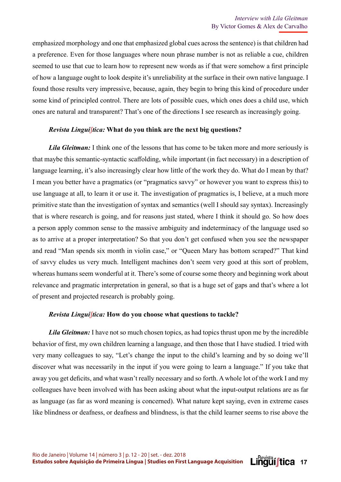emphasized morphology and one that emphasized global cues across the sentence) is that children had a preference. Even for those languages where noun phrase number is not as reliable a cue, children seemed to use that cue to learn how to represent new words as if that were somehow a first principle of how a language ought to look despite it's unreliability at the surface in their own native language. I found those results very impressive, because, again, they begin to bring this kind of procedure under some kind of principled control. There are lots of possible cues, which ones does a child use, which ones are natural and transparent? That's one of the directions I see research as increasingly going.

### *Revista Linguí*ʃ*tica:* **What do you think are the next big questions?**

*Lila Gleitman:* I think one of the lessons that has come to be taken more and more seriously is that maybe this semantic-syntactic scaffolding, while important (in fact necessary) in a description of language learning, it's also increasingly clear how little of the work they do. What do I mean by that? I mean you better have a pragmatics (or "pragmatics savvy" or however you want to express this) to use language at all, to learn it or use it. The investigation of pragmatics is, I believe, at a much more primitive state than the investigation of syntax and semantics (well I should say syntax). Increasingly that is where research is going, and for reasons just stated, where I think it should go. So how does a person apply common sense to the massive ambiguity and indeterminacy of the language used so as to arrive at a proper interpretation? So that you don't get confused when you see the newspaper and read "Man spends six month in violin case," or "Queen Mary has bottom scraped?" That kind of savvy eludes us very much. Intelligent machines don't seem very good at this sort of problem, whereas humans seem wonderful at it. There's some of course some theory and beginning work about relevance and pragmatic interpretation in general, so that is a huge set of gaps and that's where a lot of present and projected research is probably going.

#### *Revista Linguí*ʃ*tica:* **How do you choose what questions to tackle?**

*Lila Gleitman:* I have not so much chosen topics, as had topics thrust upon me by the incredible behavior of first, my own children learning a language, and then those that I have studied. I tried with very many colleagues to say, "Let's change the input to the child's learning and by so doing we'll discover what was necessarily in the input if you were going to learn a language." If you take that away you get deficits, and what wasn't really necessary and so forth. A whole lot of the work I and my colleagues have been involved with has been asking about what the input-output relations are as far as language (as far as word meaning is concerned). What nature kept saying, even in extreme cases like blindness or deafness, or deafness and blindness, is that the child learner seems to rise above the

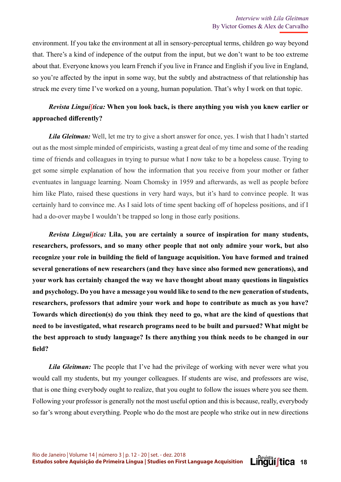environment. If you take the environment at all in sensory-perceptual terms, children go way beyond that. There's a kind of indepence of the output from the input, but we don't want to be too extreme about that. Everyone knows you learn French if you live in France and English if you live in England, so you're affected by the input in some way, but the subtly and abstractness of that relationship has struck me every time I've worked on a young, human population. That's why I work on that topic.

## *Revista Linguí*ʃ*tica:* **When you look back, is there anything you wish you knew earlier or**  approached differently?

*Lila Gleitman:* Well, let me try to give a short answer for once, yes. I wish that I hadn't started out as the most simple minded of empiricists, wasting a great deal of my time and some of the reading time of friends and colleagues in trying to pursue what I now take to be a hopeless cause. Trying to get some simple explanation of how the information that you receive from your mother or father eventuates in language learning. Noam Chomsky in 1959 and afterwards, as well as people before him like Plato, raised these questions in very hard ways, but it's hard to convince people. It was certainly hard to convince me. As I said lots of time spent backing off of hopeless positions, and if I had a do-over maybe I wouldn't be trapped so long in those early positions.

*Revista Linguí*ʃ*tica:* **Lila, you are certainly a source of inspiration for many students, researchers, professors, and so many other people that not only admire your work, but also**  recognize your role in building the field of language acquisition. You have formed and trained **several generations of new researchers (and they have since also formed new generations), and your work has certainly changed the way we have thought about many questions in linguistics and psychology. Do you have a message you would like to send to the new generation of students, researchers, professors that admire your work and hope to contribute as much as you have? Towards which direction(s) do you think they need to go, what are the kind of questions that need to be investigated, what research programs need to be built and pursued? What might be the best approach to study language? Is there anything you think needs to be changed in our fi eld?** 

*Lila Gleitman:* The people that I've had the privilege of working with never were what you would call my students, but my younger colleagues. If students are wise, and professors are wise, that is one thing everybody ought to realize, that you ought to follow the issues where you see them. Following your professor is generally not the most useful option and this is because, really, everybody so far's wrong about everything. People who do the most are people who strike out in new directions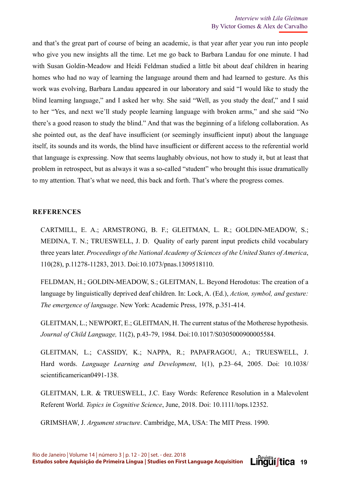and that's the great part of course of being an academic, is that year after year you run into people who give you new insights all the time. Let me go back to Barbara Landau for one minute. I had with Susan Goldin-Meadow and Heidi Feldman studied a little bit about deaf children in hearing homes who had no way of learning the language around them and had learned to gesture. As this work was evolving, Barbara Landau appeared in our laboratory and said "I would like to study the blind learning language," and I asked her why. She said "Well, as you study the deaf," and I said to her "Yes, and next we'll study people learning language with broken arms," and she said "No there's a good reason to study the blind." And that was the beginning of a lifelong collaboration. As she pointed out, as the deaf have insufficient (or seemingly insufficient input) about the language itself, its sounds and its words, the blind have insufficient or different access to the referential world that language is expressing. Now that seems laughably obvious, not how to study it, but at least that problem in retrospect, but as always it was a so-called "student" who brought this issue dramatically to my attention. That's what we need, this back and forth. That's where the progress comes.

### **REFERENCES**

CARTMILL, E. A.; ARMSTRONG, B. F.; GLEITMAN, L. R.; GOLDIN-MEADOW, S.; MEDINA, T. N.; TRUESWELL, J. D. Quality of early parent input predicts child vocabulary three years later. *Proceedings of the National Academy of Sciences of the United States of America*, 110(28), p.11278-11283, 2013. Doi:10.1073/pnas.1309518110.

FELDMAN, H.; GOLDIN-MEADOW, S.; GLEITMAN, L. Beyond Herodotus: The creation of a language by linguistically deprived deaf children. In: Lock, A. (Ed.), *Action, symbol, and gesture: The emergence of language*. New York: Academic Press, 1978, p.351-414.

GLEITMAN, L.; NEWPORT, E.; GLEITMAN, H. The current status of the Motherese hypothesis. *Journal of Child Language,* 11(2), p.43-79, 1984. Doi:10.1017/S0305000900005584.

GLEITMAN, L.; CASSIDY, K.; NAPPA, R.; PAPAFRAGOU, A.; TRUESWELL, J. Hard words. *Language Learning and Development*, 1(1), p.23–64, 2005. Doi: 10.1038/ scientificamerican0491-138.

GLEITMAN, L.R. & TRUESWELL, J.C. Easy Words: Reference Resolution in a Malevolent Referent World. *Topics in Cognitive Science*, June, 2018. Doi: 10.1111/tops.12352.

GRIMSHAW, J. *Argument structure*. Cambridge, MA, USA: The MIT Press. 1990.